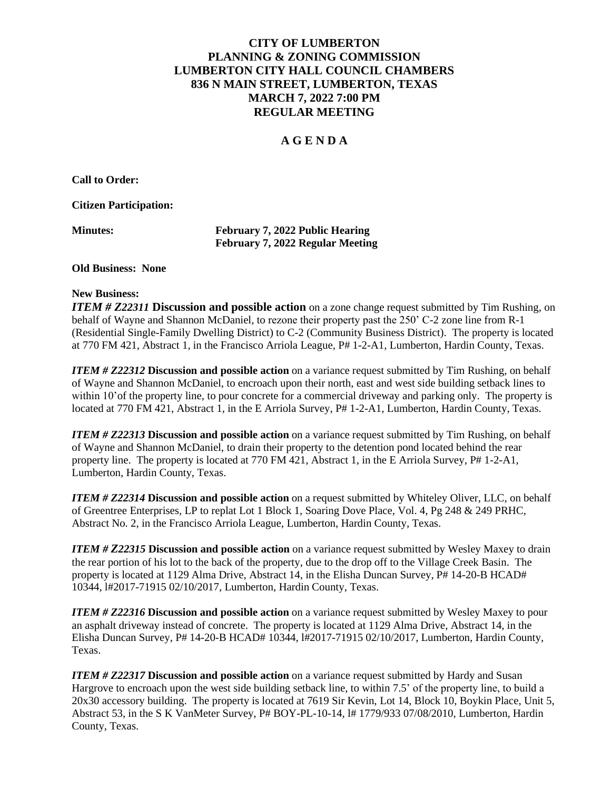# **CITY OF LUMBERTON PLANNING & ZONING COMMISSION LUMBERTON CITY HALL COUNCIL CHAMBERS 836 N MAIN STREET, LUMBERTON, TEXAS MARCH 7, 2022 7:00 PM REGULAR MEETING**

# **A G E N D A**

**Call to Order:**

**Citizen Participation:**

| <b>Minutes:</b> |
|-----------------|
|-----------------|

**Minutes: February 7, 2022 Public Hearing February 7, 2022 Regular Meeting**

#### **Old Business: None**

## **New Business:**

*ITEM # Z22311* **Discussion and possible action** on a zone change request submitted by Tim Rushing, on behalf of Wayne and Shannon McDaniel, to rezone their property past the 250' C-2 zone line from R-1 (Residential Single-Family Dwelling District) to C-2 (Community Business District). The property is located at 770 FM 421, Abstract 1, in the Francisco Arriola League, P# 1-2-A1, Lumberton, Hardin County, Texas.

*ITEM # Z22312* **Discussion and possible action** on a variance request submitted by Tim Rushing, on behalf of Wayne and Shannon McDaniel, to encroach upon their north, east and west side building setback lines to within 10'of the property line, to pour concrete for a commercial driveway and parking only. The property is located at 770 FM 421, Abstract 1, in the E Arriola Survey, P# 1-2-A1, Lumberton, Hardin County, Texas.

*ITEM # Z22313* **Discussion and possible action** on a variance request submitted by Tim Rushing, on behalf of Wayne and Shannon McDaniel, to drain their property to the detention pond located behind the rear property line. The property is located at 770 FM 421, Abstract 1, in the E Arriola Survey, P# 1-2-A1, Lumberton, Hardin County, Texas.

*ITEM # Z22314* **Discussion and possible action** on a request submitted by Whiteley Oliver, LLC, on behalf of Greentree Enterprises, LP to replat Lot 1 Block 1, Soaring Dove Place, Vol. 4, Pg 248 & 249 PRHC, Abstract No. 2, in the Francisco Arriola League, Lumberton, Hardin County, Texas.

*ITEM # Z22315* **Discussion and possible action** on a variance request submitted by Wesley Maxey to drain the rear portion of his lot to the back of the property, due to the drop off to the Village Creek Basin. The property is located at 1129 Alma Drive, Abstract 14, in the Elisha Duncan Survey, P# 14-20-B HCAD# 10344, l#2017-71915 02/10/2017, Lumberton, Hardin County, Texas.

*ITEM # Z22316* **Discussion and possible action** on a variance request submitted by Wesley Maxey to pour an asphalt driveway instead of concrete. The property is located at 1129 Alma Drive, Abstract 14, in the Elisha Duncan Survey, P# 14-20-B HCAD# 10344, l#2017-71915 02/10/2017, Lumberton, Hardin County, Texas.

*ITEM # Z22317* **Discussion and possible action** on a variance request submitted by Hardy and Susan Hargrove to encroach upon the west side building setback line, to within 7.5' of the property line, to build a 20x30 accessory building. The property is located at 7619 Sir Kevin, Lot 14, Block 10, Boykin Place, Unit 5, Abstract 53, in the S K VanMeter Survey, P# BOY-PL-10-14, l# 1779/933 07/08/2010, Lumberton, Hardin County, Texas.